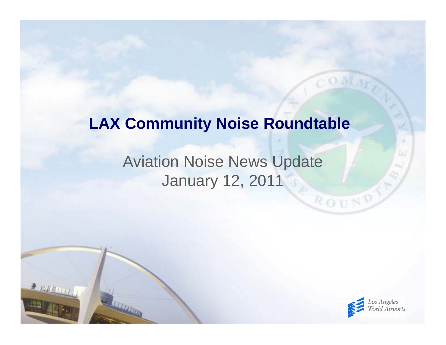#### **LAX Community Noise Roundtable**

#### Aviation Noise News Update January 12, 2011

 $2.000000$ 



ROUND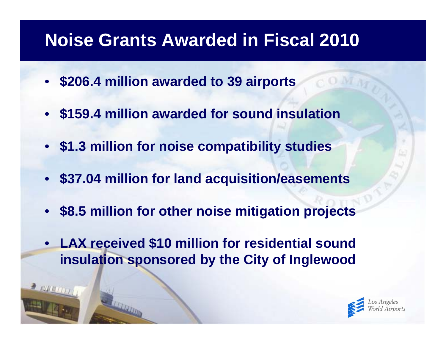## **Noise Grants Awarded in Fiscal 2010**

- **\$206.4 million awarded to 39 airports**
- **\$159.4 million awarded for sound insulation**
- **\$1.3 million for noise compatibility studies**
- **\$37.04 million for land acquisition/easements**
- **\$8.5 million for other noise mitigation projects**
- • **LAX received \$10 million for residential sound insulation sponsored by the City of Inglewood**

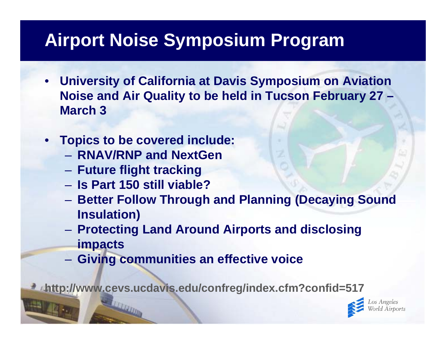# **Airport Noise Symposium Program**

- **University of California at Davis Symposium on Aviation Noise and Air Quality to be held in Tucson February 27 – March 3**
- **Topics to be covered include:**
	- **RNAV/RNP and NextGen**
	- **Future flight tracking**
	- **Is Part 150 still viable?**
	- **Hart Committee Better Follow Through and Planning (Decaying Sound Insulation)**
	- **Protecting Land Around Airports and disclosing impacts**
	- –**Giving communities an effective voice**

**http://www.cevs.ucdavis.edu/confreg/index.cfm?confid=517**

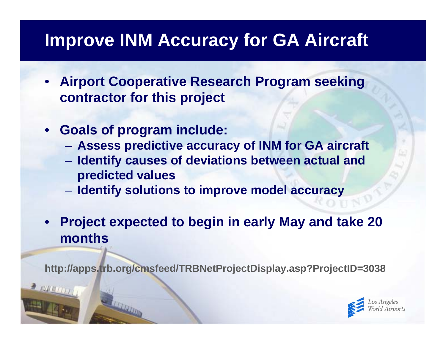## **Improve INM Accuracy for GA Aircraft**

- **Airport Cooperative Research Program seeking contractor for this project**
- **Goals of program include:**
	- **Hart Committee Assess predictive accuracy of INM for GA aircraft**
	- **Identify causes of deviations between actual and predicted values**
	- **Identify solutions to improve model accuracy**
- **Project expected to begin in early May and take 20 months**

**http://apps.trb.org/cmsfeed/TRBNetProjectDisplay.asp?ProjectID=3038**

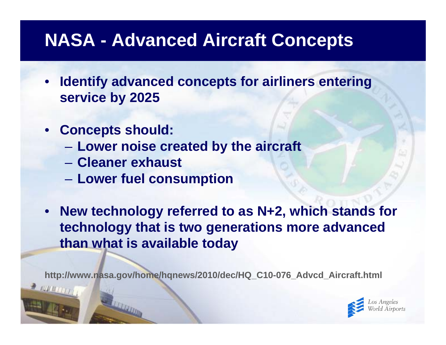## **NASA - Advanced Aircraft Concepts**

- **Identify advanced concepts for airliners entering service by 2025**
- **Concepts should:**
	- **Lower noise created by the aircraft**
	- **Cleaner exhaust**
	- **Lower fuel consumption**
- **New technology referred to as N+2, which stands for technology that is two generations more advanced than what is available today**

**http://www.nasa.gov/home/hqnews/2010/dec/HQ\_C10-076\_Advcd\_Aircraft.html**

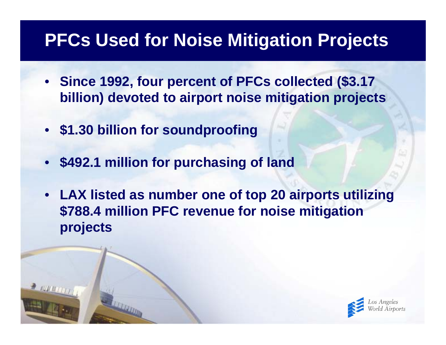## **PFCs Used for Noise Mitigation Projects**

- **Since 1992, four percent of PFCs collected (\$3.17 billion) devoted to airport noise mitigation projects**
- **\$1.30 billion for soundproofing**
- **\$492.1 million for purchasing of land**
- **LAX listed as number one of top 20 airports utilizing \$788.4 million PFC revenue for noise mitigation projects**

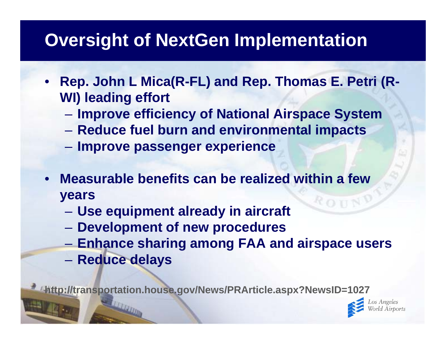# **Oversight of NextGen Implementation**

- **Rep. John L Mica(R-FL) and Rep. Thomas E. Petri (R-WI) leading effort**
	- **However the Common Improve efficiency of National Airspace System**
	- **Hart Committee Reduce fuel burn and environmental impacts**
	- **Improve passenger experience**
- **Measurable benefits can be realized within a few**  •**years** ROTN
	- **Use equipment already in aircraft**
	- **Development of new procedures**
	- –**Enhance sharing among FAA and airspace users**
	- **Reduce delays**

**http://transportation.house.gov/News/PRArticle.aspx?NewsID=1027**

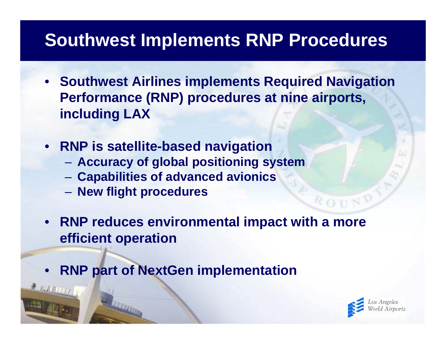## **Southwest Implements RNP Procedures**

- **Southwest Airlines implements Required Navigation Performance (RNP) procedures at nine airports, including LAX**
- **RNP is satellite-based navigation**
	- **Accuracy of global positioning system**
	- **Capabilities of advanced avionics**
	- **Holland** Construction **New flight procedures**
- **RNP reduces environmental impact with a more efficient operation**
- •**RNP part of NextGen implementation**

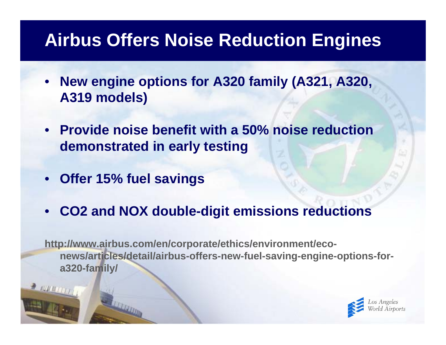## **Airbus Offers Noise Reduction Engines**

- **New engine options for A320 family (A321, A320, A319 models)**
- **Provide noise benefit with a 50% noise reduction demonstrated in early testing**
- **Offer 15% fuel savings**
- •**CO2 and NOX double-digit emissions reductions**

**http://www.airbus.com/en/corporate/ethics/environment/econews/articles/detail/airbus-offers-new-fuel-saving-engine-options-fora320-family/**